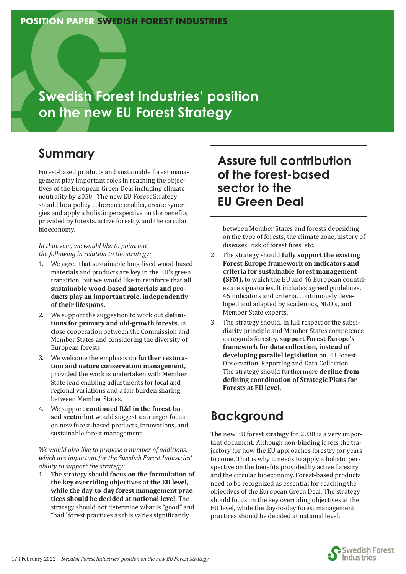### **POSITION PAPER SWEDISH FOREST INDUSTRIES**

**Swedish Forest Industries' position on the new EU Forest Strategy**

## **Summary**

Forest-based products and sustainable forest management play important roles in reaching the objectives of the European Green Deal including climate neutrality by 2050. The new EU Forest Strategy should be a policy coherence enabler, create synergies and apply a holistic perspective on the benefits provided by forests, active forestry, and the circular bioeconomy.

*In that vein, we would like to point out the following in relation to the strategy:*

- 1. We agree that sustainable long-lived wood-based materials and products are key in the EU's green transition, but we would like to reinforce that **all sustainable wood-based materials and products play an important role, independently of their lifespans.**
- 2. We support the suggestion to work out **definitions for primary and old-growth forests,** in close cooperation between the Commission and Member States and considering the diversity of European forests.
- 3. We welcome the emphasis on **further restoration and nature conservation management,** provided the work is undertaken with Member State lead enabling adjustments for local and regional variations and a fair burden sharing between Member States.
- 4. We support **continued R&I in the forest-based sector** but would suggest a stronger focus on new forest-based products, innovations, and sustainable forest management.

#### *We would also like to propose a number of additions, which are important for the Swedish Forest Industries' ability to support the strategy:*

1. The strategy should **focus on the formulation of the key overriding objectives at the EU level, while the day-to-day forest management practices should be decided at national level.** The strategy should not determine what is "good" and "bad" forest practices as this varies significantly

## **Assure full contribution of the forest-based sector to the EU Green Deal**

between Member States and forests depending on the type of forests, the climate zone, history of diseases, risk of forest fires, etc.

- 2. The strategy should **fully support the existing Forest Europe framework on indicators and criteria for sustainable forest management (SFM),** to which the EU and 46 European countries are signatories. It includes agreed guidelines, 45 indicators and criteria, continuously developed and adapted by academics, NGO's, and Member State experts.
- 3. The strategy should, in full respect of the subsidiarity principle and Member States competence as regards forestry, **support Forest Europe's framework for data collection, instead of developing parallel legislation** on EU Forest Observation, Reporting and Data Collection. The strategy should furthermore **decline from de�ining coordination of Strategic Plans for Forests at EU level.**

# **Background**

The new EU forest strategy for 2030 is a very important document. Although non-binding it sets the trajectory for how the EU approaches forestry for years to come. That is why it needs to apply a holistic perspective on the benefits provided by active forestry and the circular bioeconomy. Forest-based products need to be recognized as essential for reaching the objectives of the European Green Deal. The strategy should focus on the key overriding objectives at the EU level, while the day-to-day forest management practices should be decided at national level.

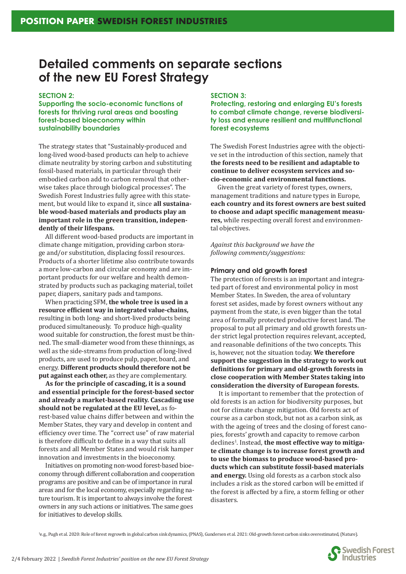## **Detailed comments on separate sections of the new EU Forest Strategy**

#### **SECTION 2:**

**Supporting the socio-economic functions of forests for thriving rural areas and boosting forest-based bioeconomy within sustainability boundaries**

The strategy states that "Sustainably-produced and long-lived wood-based products can help to achieve climate neutrality by storing carbon and substituting fossil-based materials, in particular through their embodied carbon add to carbon removal that otherwise takes place through biological processes". The Swedish Forest Industries fully agree with this statement, but would like to expand it, since **all sustainable wood-based materials and products play an important role in the green transition, independently of their lifespans.**

All different wood-based products are important in climate change mitigation, providing carbon storage and/or substitution, displacing fossil resources. Products of a shorter lifetime also contribute towards a more low-carbon and circular economy and are important products for our welfare and health demonstrated by products such as packaging material, toilet paper, diapers, sanitary pads and tampons.

When practicing SFM, **the whole tree is used in a**  resource efficient way in integrated value-chains, resulting in both long- and short-lived products being produced simultaneously. To produce high-quality wood suitable for construction, the forest must be thinned. The small-diameter wood from these thinnings, as well as the side-streams from production of long-lived products, are used to produce pulp, paper, board, and energy. **Different products should therefore not be put against each other,** as they are complementary.

**As for the principle of cascading, it is a sound and essential principle for the forest-based sector and already a market-based reality. Cascading use should not be regulated at the EU level,** as forest-based value chains differ between and within the Member States, they vary and develop in content and efficiency over time. The "correct use" of raw material is therefore difficult to define in a way that suits all forests and all Member States and would risk hamper innovation and investments in the bioeconomy.

Initiatives on promoting non-wood forest-based bioeconomy through different collaboration and cooperation programs are positive and can be of importance in rural areas and for the local economy, especially regarding nature tourism. It is important to always involve the forest owners in any such actions or initiatives. The same goes for initiatives to develop skills.

#### **SECTION 3:**

**Protecting, restoring and enlarging EU's forests to combat climate change, reverse biodiversity loss and ensure resilient and multifunctional forest ecosystems**

The Swedish Forest Industries agree with the objective set in the introduction of this section, namely that **the forests need to be resilient and adaptable to continue to deliver ecosystem services and socio-economic and environmental functions.**

Given the great variety of forest types, owners, management traditions and nature types in Europe, **each country and its forest owners are best suited**  to choose and adapt specific management measu**res,** while respecting overall forest and environmental objectives.

*Against this background we have the following comments/suggestions:*

#### **Primary and old growth forest**

The protection of forests is an important and integrated part of forest and environmental policy in most Member States. In Sweden, the area of voluntary forest set asides, made by forest owners without any payment from the state, is even bigger than the total area of formally protected productive forest land. The proposal to put all primary and old growth forests under strict legal protection requires relevant, accepted, and reasonable definitions of the two concepts. This is, however, not the situation today. **We therefore support the suggestion in the strategy to work out**  definitions for primary and old-growth forests in **close cooperation with Member States taking into consideration the diversity of European forests.** 

It is important to remember that the protection of old forests is an action for biodiversity purposes, but not for climate change mitigation. Old forests act of course as a carbon stock, but not as a carbon sink, as with the ageing of trees and the closing of forest canopies, forests' growth and capacity to remove carbon declines<sup>1</sup>. Instead, **the most effective way to mitigate climate change is to increase forest growth and to use the biomass to produce wood-based products which can substitute fossil-based materials and energy.** Using old forests as a carbon stock also includes a risk as the stored carbon will be emitted if the forest is affected by a fire, a storm felling or other disasters.

1 e.g., Pugh et al. 2020: Role of forest regrowth in global carbon sink dynamics, (PNAS), Gundersen et al. 2021: Old-growth forest carbon sinks overestimated, (Nature).

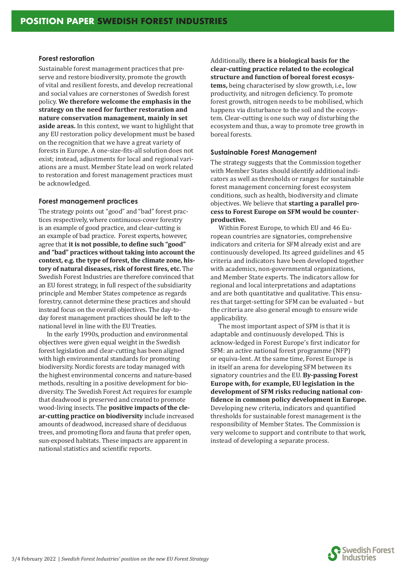#### **Forest restoration**

Sustainable forest management practices that preserve and restore biodiversity, promote the growth of vital and resilient forests, and develop recreational and social values are cornerstones of Swedish forest policy. **We therefore welcome the emphasis in the strategy on the need for further restoration and nature conservation management, mainly in set aside areas.** In this context, we want to highlight that any EU restoration policy development must be based on the recognition that we have a great variety of forests in Europe. A one-size-�its-all solution does not exist; instead, adjustments for local and regional variations are a must. Member State lead on work related to restoration and forest management practices must be acknowledged.

#### **Forest management practices**

The strategy points out "good" and "bad" forest practices respectively, where continuous-cover forestry is an example of good practice, and clear-cutting is an example of bad practice. Forest experts, however, agree that it is not possible, to define such "good" **and "bad" practices without taking into account the context, e.g. the type of forest, the climate zone, history of natural diseases, risk of forest �ires, etc.** The Swedish Forest Industries are therefore convinced that an EU forest strategy, in full respect of the subsidiarity principle and Member States competence as regards forestry, cannot determine these practices and should instead focus on the overall objectives. The day-today forest management practices should be left to the national level in line with the EU Treaties.

In the early 1990s, production and environmental objectives were given equal weight in the Swedish forest legislation and clear-cutting has been aligned with high environmental standards for promoting biodiversity. Nordic forests are today managed with the highest environmental concerns and nature-based methods, resulting in a positive development for biodiversity. The Swedish Forest Act requires for example that deadwood is preserved and created to promote wood-living insects. The **positive impacts of the clear-cutting practice on biodiversity** include increased amounts of deadwood, increased share of deciduous trees, and promoting flora and fauna that prefer open, sun-exposed habitats. These impacts are apparent in national statistics and scientific reports.

Additionally, **there is a biological basis for the clear-cutting practice related to the ecological structure and function of boreal forest ecosystems,** being characterised by slow growth, i.e., low productivity, and nitrogen de�iciency. To promote forest growth, nitrogen needs to be mobilised, which happens via disturbance to the soil and the ecosystem. Clear-cutting is one such way of disturbing the ecosystem and thus, a way to promote tree growth in boreal forests.

#### **Sustainable Forest Management**

The strategy suggests that the Commission together with Member States should identify additional indicators as well as thresholds or ranges for sustainable forest management concerning forest ecosystem conditions, such as health, biodiversity and climate objectives. We believe that **starting a parallel process to Forest Europe on SFM would be counterproductive.** 

Within Forest Europe, to which EU and 46 European countries are signatories, comprehensive indicators and criteria for SFM already exist and are continuously developed. Its agreed guidelines and 45 criteria and indicators have been developed together with academics, non-governmental organizations, and Member State experts. The indicators allow for regional and local interpretations and adaptations and are both quantitative and qualitative. This ensures that target-setting for SFM can be evaluated – but the criteria are also general enough to ensure wide applicability.

The most important aspect of SFM is that it is adaptable and continuously developed. This is acknow-ledged in Forest Europe's first indicator for SFM: an active national forest programme (NFP) or equiva-lent. At the same time, Forest Europe is in itself an arena for developing SFM between its signatory countries and the EU. **By-passing Forest Europe with, for example, EU legislation in the development of SFM risks reducing national con- �idence in common policy development in Europe.** Developing new criteria, indicators and quantified thresholds for sustainable forest management is the responsibility of Member States. The Commission is very welcome to support and contribute to that work, instead of developing a separate process.